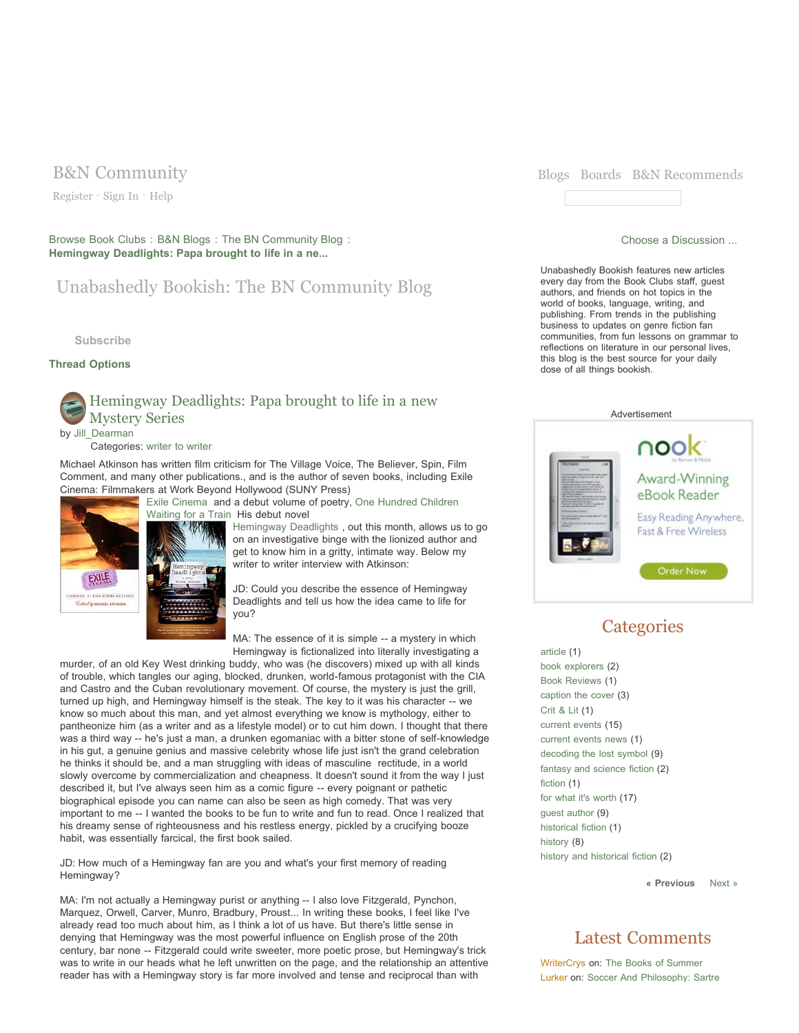Register · Sign In · Help

Browse Book Clubs : B&N Blogs : The BN Community Blog : **Hemingway Deadlights: Papa brought to life in a ne...**

## Unabashedly Bookish: The BN Community Blog

**Subscribe**

### **Thread Options**

## Hemingway Deadlights: Papa brought to life in a new Mystery Series by Jill\_Dearman

#### Categories: writer to writer

Michael Atkinson has written film criticism for The Village Voice, The Believer, Spin, Film Comment, and many other publications., and is the author of seven books, including Exile Cinema: Filmmakers at Work Beyond Hollywood (SUNY Press)



Hemingway Deadlights , out this month, allows us to go on an investigative binge with the lionized author and get to know him in a gritty, intimate way. Below my writer to writer interview with Atkinson:

JD: Could you describe the essence of Hemingway Deadlights and tell us how the idea came to life for you?

MA: The essence of it is simple -- a mystery in which Hemingway is fictionalized into literally investigating a

murder, of an old Key West drinking buddy, who was (he discovers) mixed up with all kinds of trouble, which tangles our aging, blocked, drunken, world-famous protagonist with the CIA and Castro and the Cuban revolutionary movement. Of course, the mystery is just the grill, turned up high, and Hemingway himself is the steak. The key to it was his character -- we know so much about this man, and yet almost everything we know is mythology, either to pantheonize him (as a writer and as a lifestyle model) or to cut him down. I thought that there was a third way -- he's just a man, a drunken egomaniac with a bitter stone of self-knowledge in his gut, a genuine genius and massive celebrity whose life just isn't the grand celebration he thinks it should be, and a man struggling with ideas of masculine rectitude, in a world slowly overcome by commercialization and cheapness. It doesn't sound it from the way I just described it, but I've always seen him as a comic figure -- every poignant or pathetic biographical episode you can name can also be seen as high comedy. That was very important to me -- I wanted the books to be fun to write and fun to read. Once I realized that his dreamy sense of righteousness and his restless energy, pickled by a crucifying booze habit, was essentially farcical, the first book sailed.

JD: How much of a Hemingway fan are you and what's your first memory of reading Hemingway?

MA: I'm not actually a Hemingway purist or anything -- I also love Fitzgerald, Pynchon, Marquez, Orwell, Carver, Munro, Bradbury, Proust... In writing these books, I feel like I've already read too much about him, as I think a lot of us have. But there's little sense in denying that Hemingway was the most powerful influence on English prose of the 20th century, bar none -- Fitzgerald could write sweeter, more poetic prose, but Hemingway's trick was to write in our heads what he left unwritten on the page, and the relationship an attentive reader has with a Hemingway story is far more involved and tense and reciprocal than with



#### Choose a Discussion ...

Unabashedly Bookish features new articles every day from the Book Clubs staff, guest authors, and friends on hot topics in the world of books, language, writing, and publishing. From trends in the publishing business to updates on genre fiction fan communities, from fun lessons on grammar to reflections on literature in our personal lives, this blog is the best source for your daily dose of all things bookish.



## **Categories**

article (1) book explorers (2) Book Reviews (1) caption the cover (3) Crit & Lit (1) current events (15) current events news (1) decoding the lost symbol (9) fantasy and science fiction (2) fiction (1) for what it's worth (17) guest author (9) historical fiction (1) history (8) history and historical fiction (2)

**« Previous** Next »

## Latest Comments

WriterCrys on: The Books of Summer Lurker on: Soccer And Philosophy: Sartre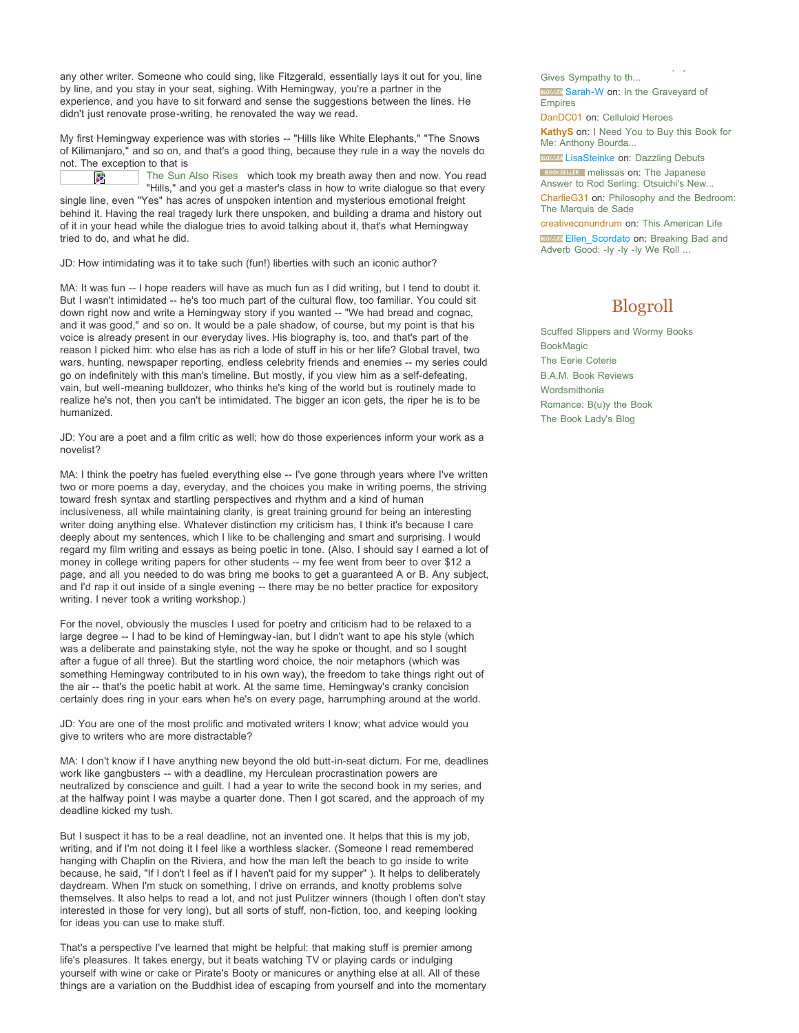any other writer. Someone who could sing, like Fitzgerald, essentially lays it out for you, line by line, and you stay in your seat, sighing. With Hemingway, you're a partner in the experience, and you have to sit forward and sense the suggestions between the lines. He didn't just renovate prose-writing, he renovated the way we read.

My first Hemingway experience was with stories -- "Hills like White Elephants," "The Snows of Kilimanjaro," and so on, and that's a good thing, because they rule in a way the novels do not. The exception to that is

 $\mathbf{S}^{\mathbf{p}}$ 

The Sun Also Rises which took my breath away then and now. You read

"Hills," and you get a master's class in how to write dialogue so that every single line, even "Yes" has acres of unspoken intention and mysterious emotional freight behind it. Having the real tragedy lurk there unspoken, and building a drama and history out of it in your head while the dialogue tries to avoid talking about it, that's what Hemingway tried to do, and what he did.

JD: How intimidating was it to take such (fun!) liberties with such an iconic author?

MA: It was fun -- I hope readers will have as much fun as I did writing, but I tend to doubt it. But I wasn't intimidated -- he's too much part of the cultural flow, too familiar. You could sit down right now and write a Hemingway story if you wanted -- "We had bread and cognac, and it was good," and so on. It would be a pale shadow, of course, but my point is that his voice is already present in our everyday lives. His biography is, too, and that's part of the reason I picked him: who else has as rich a lode of stuff in his or her life? Global travel, two wars, hunting, newspaper reporting, endless celebrity friends and enemies -- my series could go on indefinitely with this man's timeline. But mostly, if you view him as a self-defeating, vain, but well-meaning bulldozer, who thinks he's king of the world but is routinely made to realize he's not, then you can't be intimidated. The bigger an icon gets, the riper he is to be humanized.

JD: You are a poet and a film critic as well; how do those experiences inform your work as a novelist?

MA: I think the poetry has fueled everything else -- I've gone through years where I've written two or more poems a day, everyday, and the choices you make in writing poems, the striving toward fresh syntax and startling perspectives and rhythm and a kind of human inclusiveness, all while maintaining clarity, is great training ground for being an interesting writer doing anything else. Whatever distinction my criticism has, I think it's because I care deeply about my sentences, which I like to be challenging and smart and surprising. I would regard my film writing and essays as being poetic in tone. (Also, I should say I earned a lot of money in college writing papers for other students -- my fee went from beer to over \$12 a page, and all you needed to do was bring me books to get a guaranteed A or B. Any subject, and I'd rap it out inside of a single evening -- there may be no better practice for expository writing. I never took a writing workshop.)

For the novel, obviously the muscles I used for poetry and criticism had to be relaxed to a large degree -- I had to be kind of Hemingway-ian, but I didn't want to ape his style (which was a deliberate and painstaking style, not the way he spoke or thought, and so I sought after a fugue of all three). But the startling word choice, the noir metaphors (which was something Hemingway contributed to in his own way), the freedom to take things right out of the air -- that's the poetic habit at work. At the same time, Hemingway's cranky concision certainly does ring in your ears when he's on every page, harrumphing around at the world.

JD: You are one of the most prolific and motivated writers I know; what advice would you give to writers who are more distractable?

MA: I don't know if I have anything new beyond the old butt-in-seat dictum. For me, deadlines work like gangbusters -- with a deadline, my Herculean procrastination powers are neutralized by conscience and guilt. I had a year to write the second book in my series, and at the halfway point I was maybe a quarter done. Then I got scared, and the approach of my deadline kicked my tush.

But I suspect it has to be a real deadline, not an invented one. It helps that this is my job, writing, and if I'm not doing it I feel like a worthless slacker. (Someone I read remembered hanging with Chaplin on the Riviera, and how the man left the beach to go inside to write because, he said, "If I don't I feel as if I haven't paid for my supper" ). It helps to deliberately daydream. When I'm stuck on something, I drive on errands, and knotty problems solve themselves. It also helps to read a lot, and not just Pulitzer winners (though I often don't stay interested in those for very long), but all sorts of stuff, non-fiction, too, and keeping looking for ideas you can use to make stuff.

That's a perspective I've learned that might be helpful: that making stuff is premier among life's pleasures. It takes energy, but it beats watching TV or playing cards or indulging yourself with wine or cake or Pirate's Booty or manicures or anything else at all. All of these things are a variation on the Buddhist idea of escaping from yourself and into the momentary

Gives Sympathy to th... **BLOGGET** Sarah-W on: In the Graveyard of Empires

Lurker on: Soccer And Philosophy: Sartre

DanDC01 on: Celluloid Heroes

**KathyS** on: I Need You to Buy this Book for Me: Anthony Bourda...

**BLOCCER** LisaSteinke on: Dazzling Debuts

**BOOKSELLER** melissas on: The Japanese Answer to Rod Serling: Otsuichi's New...

CharlieG31 on: Philosophy and the Bedroom: The Marquis de Sade

creativeconundrum on: This American Life **BLOCGER** Ellen Scordato on: Breaking Bad and Adverb Good: -ly -ly -ly We Roll ...

# Blogroll

Scuffed Slippers and Wormy Books BookMagic The Eerie Coterie B.A.M. Book Reviews Wordsmithonia Romance: B(u)y the Book The Book Lady's Blog